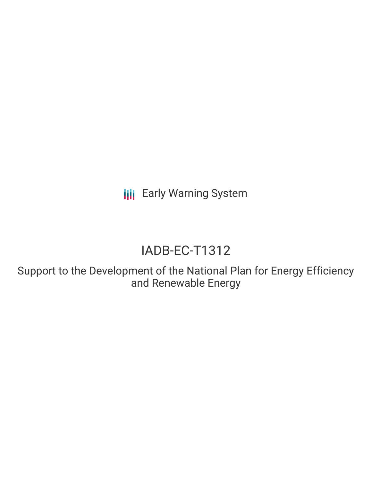**III** Early Warning System

# IADB-EC-T1312

Support to the Development of the National Plan for Energy Efficiency and Renewable Energy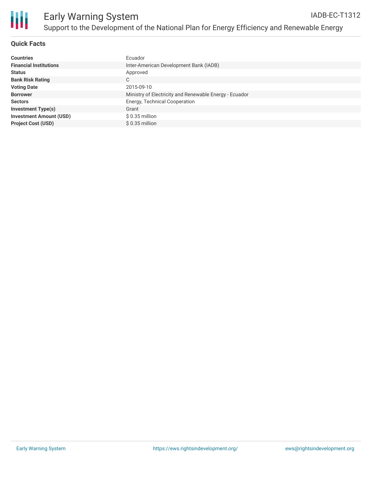

### **Quick Facts**

| <b>Countries</b>               | Ecuador                                                |
|--------------------------------|--------------------------------------------------------|
| <b>Financial Institutions</b>  | Inter-American Development Bank (IADB)                 |
| <b>Status</b>                  | Approved                                               |
| <b>Bank Risk Rating</b>        | C                                                      |
| <b>Voting Date</b>             | 2015-09-10                                             |
| <b>Borrower</b>                | Ministry of Electricity and Renewable Energy - Ecuador |
| <b>Sectors</b>                 | <b>Energy, Technical Cooperation</b>                   |
| <b>Investment Type(s)</b>      | Grant                                                  |
| <b>Investment Amount (USD)</b> | $$0.35$ million                                        |
| <b>Project Cost (USD)</b>      | $$0.35$ million                                        |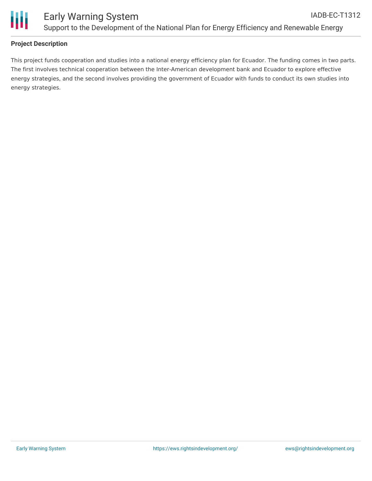

### **Project Description**

This project funds cooperation and studies into a national energy efficiency plan for Ecuador. The funding comes in two parts. The first involves technical cooperation between the Inter-American development bank and Ecuador to explore effective energy strategies, and the second involves providing the government of Ecuador with funds to conduct its own studies into energy strategies.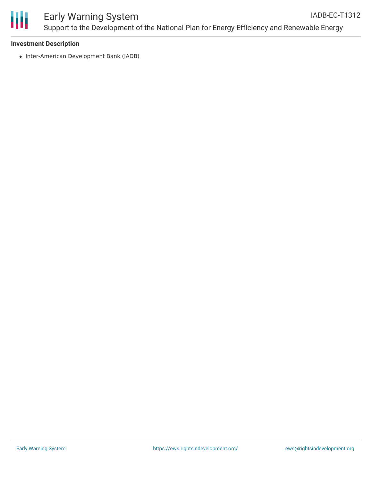

#### **Investment Description**

• Inter-American Development Bank (IADB)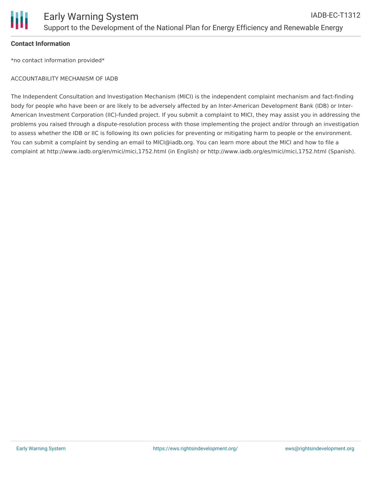

#### **Contact Information**

\*no contact information provided\*

#### ACCOUNTABILITY MECHANISM OF IADB

The Independent Consultation and Investigation Mechanism (MICI) is the independent complaint mechanism and fact-finding body for people who have been or are likely to be adversely affected by an Inter-American Development Bank (IDB) or Inter-American Investment Corporation (IIC)-funded project. If you submit a complaint to MICI, they may assist you in addressing the problems you raised through a dispute-resolution process with those implementing the project and/or through an investigation to assess whether the IDB or IIC is following its own policies for preventing or mitigating harm to people or the environment. You can submit a complaint by sending an email to MICI@iadb.org. You can learn more about the MICI and how to file a complaint at http://www.iadb.org/en/mici/mici,1752.html (in English) or http://www.iadb.org/es/mici/mici,1752.html (Spanish).